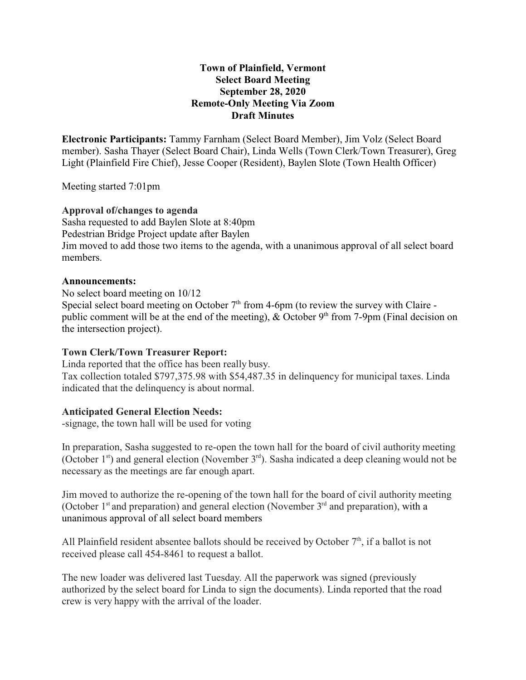## **Town of Plainfield, Vermont Select Board Meeting September 28, 2020 Remote-Only Meeting Via Zoom Draft Minutes**

**Electronic Participants:** Tammy Farnham (Select Board Member), Jim Volz (Select Board member). Sasha Thayer (Select Board Chair), Linda Wells (Town Clerk/Town Treasurer), Greg Light (Plainfield Fire Chief), Jesse Cooper (Resident), Baylen Slote (Town Health Officer)

Meeting started 7:01pm

# **Approval of/changes to agenda**

Sasha requested to add Baylen Slote at 8:40pm Pedestrian Bridge Project update after Baylen Jim moved to add those two items to the agenda, with a unanimous approval of all select board members.

#### **Announcements:**

No select board meeting on 10/12 Special select board meeting on October  $7<sup>th</sup>$  from 4-6pm (to review the survey with Claire public comment will be at the end of the meeting), & October  $9<sup>th</sup>$  from 7-9pm (Final decision on the intersection project).

#### **Town Clerk/Town Treasurer Report:**

Linda reported that the office has been really busy. Tax collection totaled \$797,375.98 with \$54,487.35 in delinquency for municipal taxes. Linda indicated that the delinquency is about normal.

#### **Anticipated General Election Needs:**

-signage, the town hall will be used for voting

In preparation, Sasha suggested to re-open the town hall for the board of civil authority meeting (October 1<sup>st</sup>) and general election (November 3<sup>rd</sup>). Sasha indicated a deep cleaning would not be necessary as the meetings are far enough apart.

Jim moved to authorize the re-opening of the town hall for the board of civil authority meeting (October 1<sup>st</sup> and preparation) and general election (November 3<sup>rd</sup> and preparation), with a unanimous approval of all select board members

All Plainfield resident absentee ballots should be received by October  $7<sup>th</sup>$ , if a ballot is not received please call 454-8461 to request a ballot.

The new loader was delivered last Tuesday. All the paperwork was signed (previously authorized by the select board for Linda to sign the documents). Linda reported that the road crew is very happy with the arrival of the loader.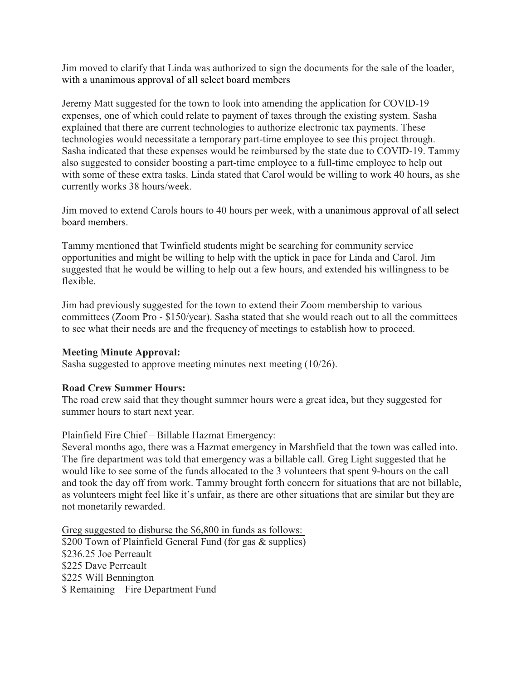Jim moved to clarify that Linda was authorized to sign the documents for the sale of the loader, with a unanimous approval of all select board members

Jeremy Matt suggested for the town to look into amending the application for COVID-19 expenses, one of which could relate to payment of taxes through the existing system. Sasha explained that there are current technologies to authorize electronic tax payments. These technologies would necessitate a temporary part-time employee to see this project through. Sasha indicated that these expenses would be reimbursed by the state due to COVID-19. Tammy also suggested to consider boosting a part-time employee to a full-time employee to help out with some of these extra tasks. Linda stated that Carol would be willing to work 40 hours, as she currently works 38 hours/week.

Jim moved to extend Carols hours to 40 hours per week, with a unanimous approval of all select board members.

Tammy mentioned that Twinfield students might be searching for community service opportunities and might be willing to help with the uptick in pace for Linda and Carol. Jim suggested that he would be willing to help out a few hours, and extended his willingness to be flexible.

Jim had previously suggested for the town to extend their Zoom membership to various committees (Zoom Pro - \$150/year). Sasha stated that she would reach out to all the committees to see what their needs are and the frequency of meetings to establish how to proceed.

#### **Meeting Minute Approval:**

Sasha suggested to approve meeting minutes next meeting (10/26).

# **Road Crew Summer Hours:**

The road crew said that they thought summer hours were a great idea, but they suggested for summer hours to start next year.

#### Plainfield Fire Chief – Billable Hazmat Emergency:

Several months ago, there was a Hazmat emergency in Marshfield that the town was called into. The fire department was told that emergency was a billable call. Greg Light suggested that he would like to see some of the funds allocated to the 3 volunteers that spent 9-hours on the call and took the day off from work. Tammy brought forth concern for situations that are not billable, as volunteers might feel like it's unfair, as there are other situations that are similar but they are not monetarily rewarded.

Greg suggested to disburse the \$6,800 in funds as follows: \$200 Town of Plainfield General Fund (for gas & supplies) \$236.25 Joe Perreault \$225 Dave Perreault \$225 Will Bennington \$ Remaining – Fire Department Fund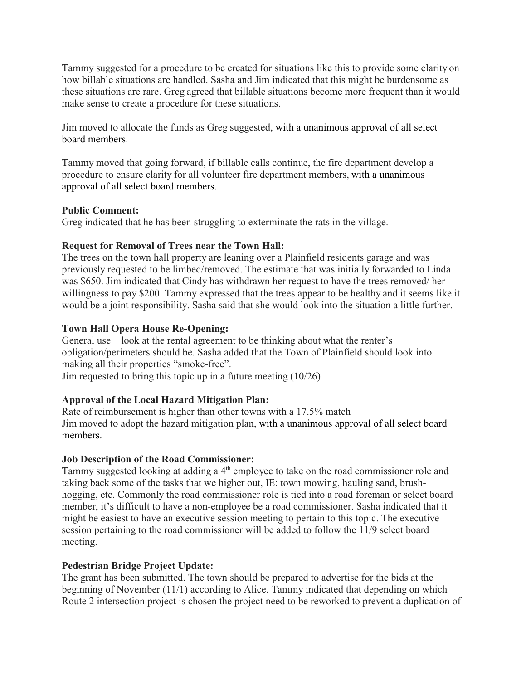Tammy suggested for a procedure to be created for situations like this to provide some clarity on how billable situations are handled. Sasha and Jim indicated that this might be burdensome as these situations are rare. Greg agreed that billable situations become more frequent than it would make sense to create a procedure for these situations.

Jim moved to allocate the funds as Greg suggested, with a unanimous approval of all select board members.

Tammy moved that going forward, if billable calls continue, the fire department develop a procedure to ensure clarity for all volunteer fire department members, with a unanimous approval of all select board members.

## **Public Comment:**

Greg indicated that he has been struggling to exterminate the rats in the village.

## **Request for Removal of Trees near the Town Hall:**

The trees on the town hall property are leaning over a Plainfield residents garage and was previously requested to be limbed/removed. The estimate that was initially forwarded to Linda was \$650. Jim indicated that Cindy has withdrawn her request to have the trees removed/ her willingness to pay \$200. Tammy expressed that the trees appear to be healthy and it seems like it would be a joint responsibility. Sasha said that she would look into the situation a little further.

# **Town Hall Opera House Re-Opening:**

General use – look at the rental agreement to be thinking about what the renter's obligation/perimeters should be. Sasha added that the Town of Plainfield should look into making all their properties "smoke-free". Jim requested to bring this topic up in a future meeting (10/26)

# **Approval of the Local Hazard Mitigation Plan:**

Rate of reimbursement is higher than other towns with a 17.5% match Jim moved to adopt the hazard mitigation plan, with a unanimous approval of all select board members.

# **Job Description of the Road Commissioner:**

Tammy suggested looking at adding a  $4<sup>th</sup>$  employee to take on the road commissioner role and taking back some of the tasks that we higher out, IE: town mowing, hauling sand, brushhogging, etc. Commonly the road commissioner role is tied into a road foreman or select board member, it's difficult to have a non-employee be a road commissioner. Sasha indicated that it might be easiest to have an executive session meeting to pertain to this topic. The executive session pertaining to the road commissioner will be added to follow the 11/9 select board meeting.

# **Pedestrian Bridge Project Update:**

The grant has been submitted. The town should be prepared to advertise for the bids at the beginning of November (11/1) according to Alice. Tammy indicated that depending on which Route 2 intersection project is chosen the project need to be reworked to prevent a duplication of